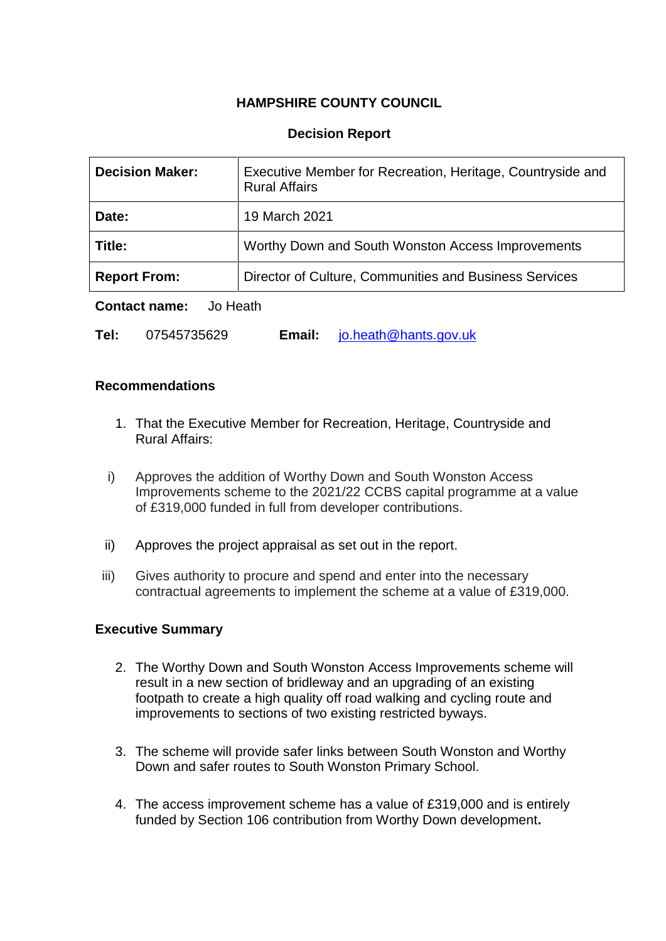# **HAMPSHIRE COUNTY COUNCIL**

## **Decision Report**

| <b>Decision Maker:</b>                                                        | Executive Member for Recreation, Heritage, Countryside and<br><b>Rural Affairs</b> |  |
|-------------------------------------------------------------------------------|------------------------------------------------------------------------------------|--|
| Date:                                                                         | 19 March 2021                                                                      |  |
| Title:                                                                        | Worthy Down and South Wonston Access Improvements                                  |  |
| Director of Culture, Communities and Business Services<br><b>Report From:</b> |                                                                                    |  |

**Contact name:** Jo Heath

| Tel: | 07545735629 | Email: | $\blacksquare$ jo.heath@hants.gov.uk |
|------|-------------|--------|--------------------------------------|
|------|-------------|--------|--------------------------------------|

## **Recommendations**

- 1. That the Executive Member for Recreation, Heritage, Countryside and Rural Affairs:
- i) Approves the addition of Worthy Down and South Wonston Access Improvements scheme to the 2021/22 CCBS capital programme at a value of £319,000 funded in full from developer contributions.
- ii) Approves the project appraisal as set out in the report.
- iii) Gives authority to procure and spend and enter into the necessary contractual agreements to implement the scheme at a value of £319,000.

## **Executive Summary**

- 2. The Worthy Down and South Wonston Access Improvements scheme will result in a new section of bridleway and an upgrading of an existing footpath to create a high quality off road walking and cycling route and improvements to sections of two existing restricted byways.
- 3. The scheme will provide safer links between South Wonston and Worthy Down and safer routes to South Wonston Primary School.
- 4. The access improvement scheme has a value of £319,000 and is entirely funded by Section 106 contribution from Worthy Down development**.**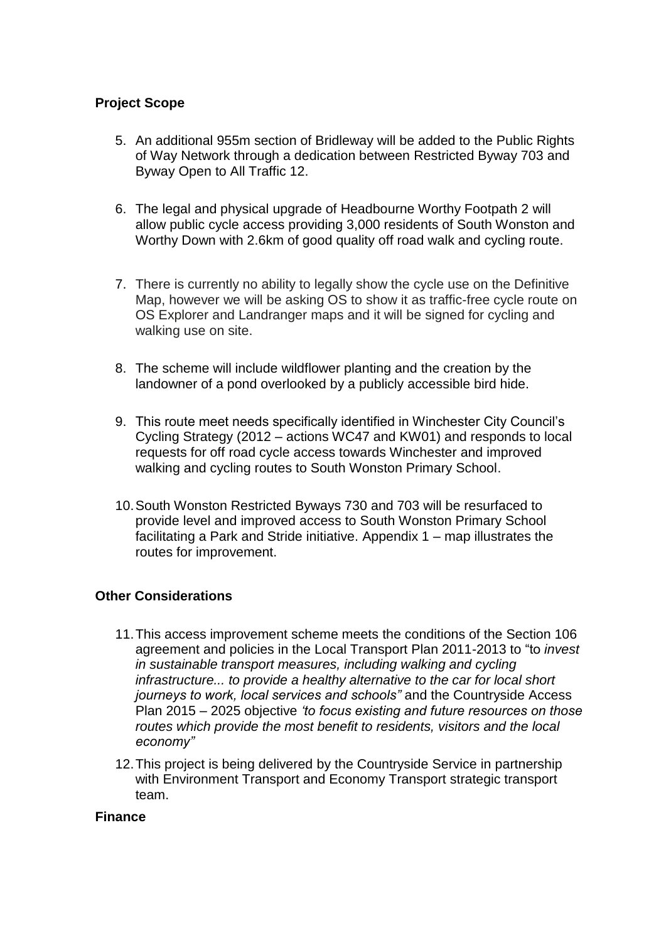# **Project Scope**

- 5. An additional 955m section of Bridleway will be added to the Public Rights of Way Network through a dedication between Restricted Byway 703 and Byway Open to All Traffic 12.
- 6. The legal and physical upgrade of Headbourne Worthy Footpath 2 will allow public cycle access providing 3,000 residents of South Wonston and Worthy Down with 2.6km of good quality off road walk and cycling route.
- 7. There is currently no ability to legally show the cycle use on the Definitive Map, however we will be asking OS to show it as traffic-free cycle route on OS Explorer and Landranger maps and it will be signed for cycling and walking use on site.
- 8. The scheme will include wildflower planting and the creation by the landowner of a pond overlooked by a publicly accessible bird hide.
- 9. This route meet needs specifically identified in Winchester City Council's Cycling Strategy (2012 – actions WC47 and KW01) and responds to local requests for off road cycle access towards Winchester and improved walking and cycling routes to South Wonston Primary School.
- 10.South Wonston Restricted Byways 730 and 703 will be resurfaced to provide level and improved access to South Wonston Primary School facilitating a Park and Stride initiative. Appendix 1 – map illustrates the routes for improvement.

## **Other Considerations**

- 11.This access improvement scheme meets the conditions of the Section 106 agreement and policies in the Local Transport Plan 2011-2013 to "to *invest in sustainable transport measures, including walking and cycling infrastructure... to provide a healthy alternative to the car for local short journeys to work, local services and schools"* and the Countryside Access Plan 2015 – 2025 objective *'to focus existing and future resources on those routes which provide the most benefit to residents, visitors and the local economy"*
- 12.This project is being delivered by the Countryside Service in partnership with Environment Transport and Economy Transport strategic transport team.

#### **Finance**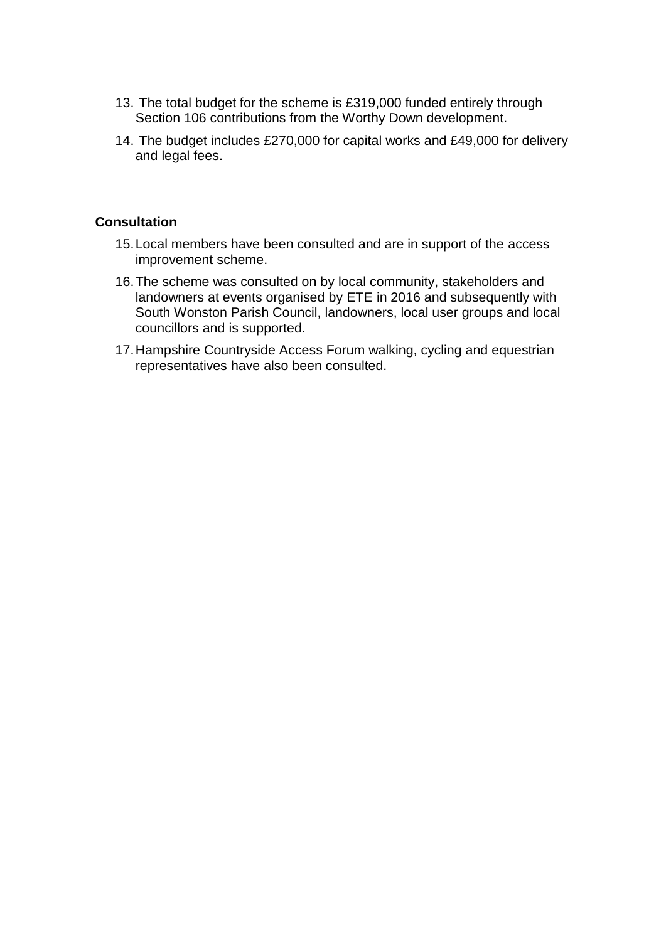- 13. The total budget for the scheme is £319,000 funded entirely through Section 106 contributions from the Worthy Down development.
- 14. The budget includes £270,000 for capital works and £49,000 for delivery and legal fees.

## **Consultation**

- 15.Local members have been consulted and are in support of the access improvement scheme.
- 16.The scheme was consulted on by local community, stakeholders and landowners at events organised by ETE in 2016 and subsequently with South Wonston Parish Council, landowners, local user groups and local councillors and is supported.
- 17.Hampshire Countryside Access Forum walking, cycling and equestrian representatives have also been consulted.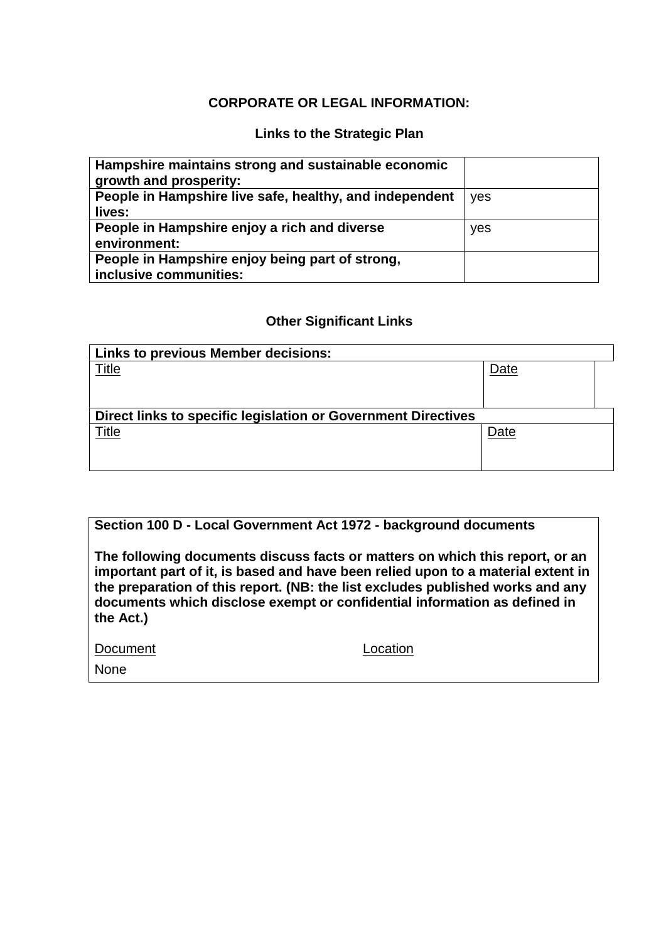## **CORPORATE OR LEGAL INFORMATION:**

# **Links to the Strategic Plan**

| Hampshire maintains strong and sustainable economic<br>growth and prosperity: |     |
|-------------------------------------------------------------------------------|-----|
| People in Hampshire live safe, healthy, and independent                       | yes |
| lives:                                                                        |     |
| People in Hampshire enjoy a rich and diverse                                  | yes |
| environment:                                                                  |     |
| People in Hampshire enjoy being part of strong,                               |     |
| inclusive communities:                                                        |     |

#### **Other Significant Links**

| <b>Links to previous Member decisions:</b>                    |      |  |  |  |
|---------------------------------------------------------------|------|--|--|--|
| <u>Title</u>                                                  | Date |  |  |  |
| Direct links to specific legislation or Government Directives |      |  |  |  |
| Title                                                         | Date |  |  |  |

## **Section 100 D - Local Government Act 1972 - background documents**

**The following documents discuss facts or matters on which this report, or an important part of it, is based and have been relied upon to a material extent in the preparation of this report. (NB: the list excludes published works and any documents which disclose exempt or confidential information as defined in the Act.)**

| Document |  |
|----------|--|
|          |  |

Location

None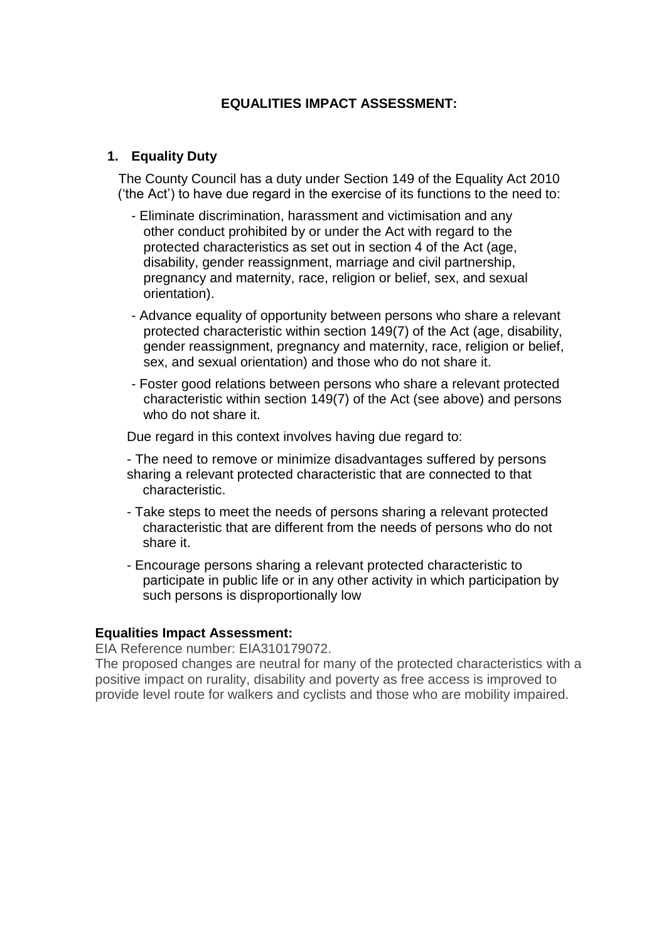# **EQUALITIES IMPACT ASSESSMENT:**

#### **1. Equality Duty**

The County Council has a duty under Section 149 of the Equality Act 2010 ('the Act') to have due regard in the exercise of its functions to the need to:

- Eliminate discrimination, harassment and victimisation and any other conduct prohibited by or under the Act with regard to the protected characteristics as set out in section 4 of the Act (age, disability, gender reassignment, marriage and civil partnership, pregnancy and maternity, race, religion or belief, sex, and sexual orientation).
- Advance equality of opportunity between persons who share a relevant protected characteristic within section 149(7) of the Act (age, disability, gender reassignment, pregnancy and maternity, race, religion or belief, sex, and sexual orientation) and those who do not share it.
- Foster good relations between persons who share a relevant protected characteristic within section 149(7) of the Act (see above) and persons who do not share it.

Due regard in this context involves having due regard to:

- The need to remove or minimize disadvantages suffered by persons sharing a relevant protected characteristic that are connected to that characteristic.
- Take steps to meet the needs of persons sharing a relevant protected characteristic that are different from the needs of persons who do not share it.
- Encourage persons sharing a relevant protected characteristic to participate in public life or in any other activity in which participation by such persons is disproportionally low

#### **Equalities Impact Assessment:**

EIA Reference number: EIA310179072.

The proposed changes are neutral for many of the protected characteristics with a positive impact on rurality, disability and poverty as free access is improved to provide level route for walkers and cyclists and those who are mobility impaired.